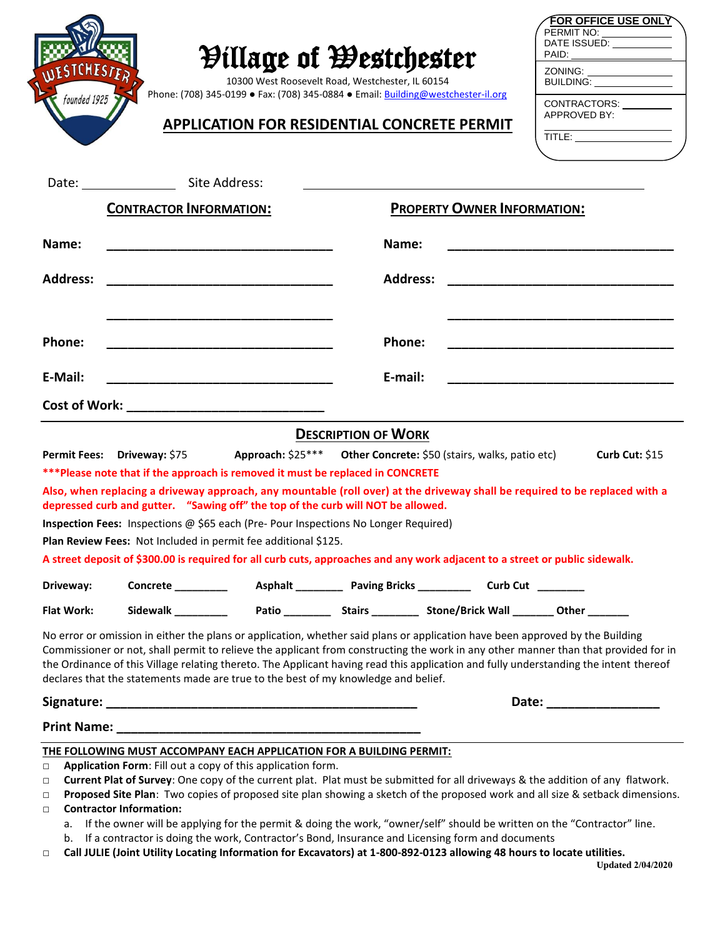| founded 1925      |                                                                                                               | <b><i>Pillage of Westchester</i></b><br>10300 West Roosevelt Road, Westchester, IL 60154<br>Phone: (708) 345-0199 • Fax: (708) 345-0884 • Email: Building@westchester-il.org |                            | <b>APPLICATION FOR RESIDENTIAL CONCRETE PERMIT</b>                                                                            | FOR OFFICE USE ONLY`<br>CONTRACTORS: _________<br>APPROVED BY:<br>TITLE: __________________                                                                                                                                                                                  |
|-------------------|---------------------------------------------------------------------------------------------------------------|------------------------------------------------------------------------------------------------------------------------------------------------------------------------------|----------------------------|-------------------------------------------------------------------------------------------------------------------------------|------------------------------------------------------------------------------------------------------------------------------------------------------------------------------------------------------------------------------------------------------------------------------|
|                   |                                                                                                               |                                                                                                                                                                              |                            |                                                                                                                               |                                                                                                                                                                                                                                                                              |
|                   | <b>CONTRACTOR INFORMATION:</b>                                                                                |                                                                                                                                                                              |                            | <b>PROPERTY OWNER INFORMATION:</b>                                                                                            |                                                                                                                                                                                                                                                                              |
| Name:             |                                                                                                               |                                                                                                                                                                              | Name:                      |                                                                                                                               |                                                                                                                                                                                                                                                                              |
| <b>Address:</b>   |                                                                                                               |                                                                                                                                                                              |                            | <b>Address:</b>                                                                                                               |                                                                                                                                                                                                                                                                              |
| Phone:            |                                                                                                               |                                                                                                                                                                              | Phone:                     |                                                                                                                               |                                                                                                                                                                                                                                                                              |
| E-Mail:           |                                                                                                               |                                                                                                                                                                              | E-mail:                    |                                                                                                                               |                                                                                                                                                                                                                                                                              |
|                   |                                                                                                               |                                                                                                                                                                              |                            |                                                                                                                               |                                                                                                                                                                                                                                                                              |
|                   |                                                                                                               |                                                                                                                                                                              | <b>DESCRIPTION OF WORK</b> |                                                                                                                               |                                                                                                                                                                                                                                                                              |
|                   | Permit Fees: Driveway: \$75<br>***Please note that if the approach is removed it must be replaced in CONCRETE |                                                                                                                                                                              |                            | Approach: \$25*** Other Concrete: \$50 (stairs, walks, patio etc)                                                             | Curb Cut: $$15$                                                                                                                                                                                                                                                              |
|                   | depressed curb and gutter. "Sawing off" the top of the curb will NOT be allowed.                              |                                                                                                                                                                              |                            |                                                                                                                               | Also, when replacing a driveway approach, any mountable (roll over) at the driveway shall be required to be replaced with a                                                                                                                                                  |
|                   | Inspection Fees: Inspections @ \$65 each (Pre- Pour Inspections No Longer Required)                           |                                                                                                                                                                              |                            |                                                                                                                               |                                                                                                                                                                                                                                                                              |
|                   | Plan Review Fees: Not Included in permit fee additional \$125.                                                |                                                                                                                                                                              |                            |                                                                                                                               |                                                                                                                                                                                                                                                                              |
|                   |                                                                                                               |                                                                                                                                                                              |                            | A street deposit of \$300.00 is required for all curb cuts, approaches and any work adjacent to a street or public sidewalk.  |                                                                                                                                                                                                                                                                              |
| Driveway:         |                                                                                                               |                                                                                                                                                                              |                            |                                                                                                                               |                                                                                                                                                                                                                                                                              |
| <b>Flat Work:</b> |                                                                                                               |                                                                                                                                                                              |                            |                                                                                                                               |                                                                                                                                                                                                                                                                              |
|                   | declares that the statements made are true to the best of my knowledge and belief.                            |                                                                                                                                                                              |                            | No error or omission in either the plans or application, whether said plans or application have been approved by the Building | Commissioner or not, shall permit to relieve the applicant from constructing the work in any other manner than that provided for in<br>the Ordinance of this Village relating thereto. The Applicant having read this application and fully understanding the intent thereof |
|                   |                                                                                                               |                                                                                                                                                                              |                            |                                                                                                                               | Date: ___________________                                                                                                                                                                                                                                                    |
|                   |                                                                                                               |                                                                                                                                                                              |                            |                                                                                                                               |                                                                                                                                                                                                                                                                              |
|                   | THE FOLLOWING MUST ACCOMPANY EACH APPLICATION FOR A BUILDING PERMIT:                                          |                                                                                                                                                                              |                            |                                                                                                                               |                                                                                                                                                                                                                                                                              |

**□ Current Plat of Survey**: One copy of the current plat. Plat must be submitted for all driveways & the addition of any flatwork.

**□ Proposed Site Plan**: Two copies of proposed site plan showing a sketch of the proposed work and all size & setback dimensions. **□ Contractor Information:**

- a. If the owner will be applying for the permit & doing the work, "owner/self" should be written on the "Contractor" line.
- b. If a contractor is doing the work, Contractor's Bond, Insurance and Licensing form and documents
- **□ Call JULIE (Joint Utility Locating Information for Excavators) at 1-800-892-0123 allowing 48 hours to locate utilities.**